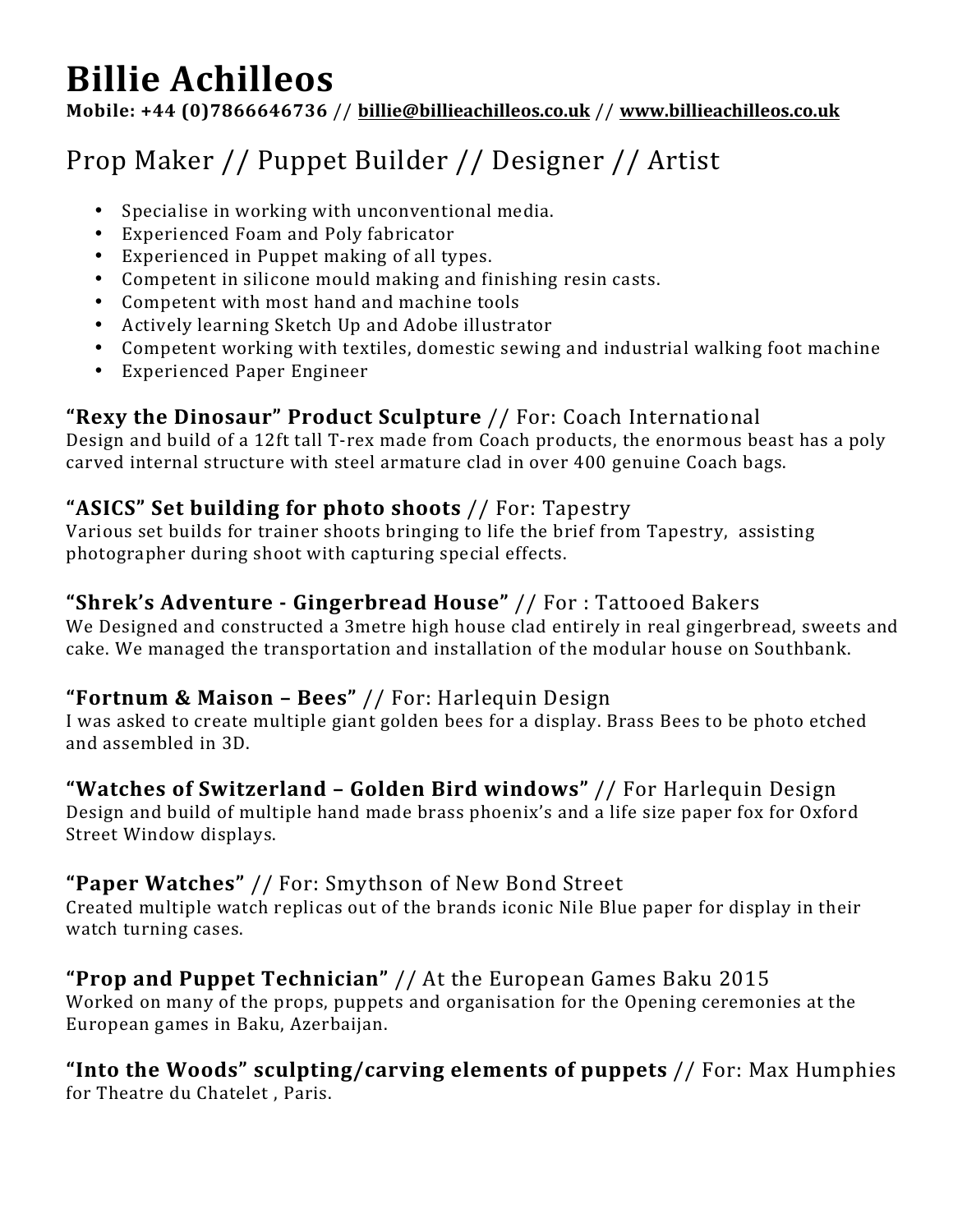# **Billie Achilleos**

**Mobile: +44 (0)7866646736** // **billie@billieachilleos.co.uk** // **www.billieachilleos.co.uk**

## Prop Maker // Puppet Builder // Designer // Artist

- Specialise in working with unconventional media.
- Experienced Foam and Poly fabricator
- Experienced in Puppet making of all types.
- Competent in silicone mould making and finishing resin casts.
- Competent with most hand and machine tools
- Actively learning Sketch Up and Adobe illustrator
- Competent working with textiles, domestic sewing and industrial walking foot machine
- Experienced Paper Engineer

## **"Rexy the Dinosaur" Product Sculpture** // For: Coach International

Design and build of a 12ft tall T-rex made from Coach products, the enormous beast has a poly carved internal structure with steel armature clad in over 400 genuine Coach bags.

## "ASICS" Set building for photo shoots // For: Tapestry

Various set builds for trainer shoots bringing to life the brief from Tapestry, assisting photographer during shoot with capturing special effects.

## "Shrek's Adventure - Gingerbread House" // For: Tattooed Bakers

We Designed and constructed a 3metre high house clad entirely in real gingerbread, sweets and cake. We managed the transportation and installation of the modular house on Southbank.

## **"Fortnum & Maison – Bees"** // For: Harlequin Design

I was asked to create multiple giant golden bees for a display. Brass Bees to be photo etched and assembled in 3D.

## **"Watches of Switzerland - Golden Bird windows" // For Harlequin Design**

Design and build of multiple hand made brass phoenix's and a life size paper fox for Oxford Street Window displays.

## "Paper Watches" // For: Smythson of New Bond Street

Created multiple watch replicas out of the brands iconic Nile Blue paper for display in their watch turning cases.

## **"Prop and Puppet Technician"** // At the European Games Baku 2015

Worked on many of the props, puppets and organisation for the Opening ceremonies at the European games in Baku, Azerbaijan.

#### **"Into the Woods" sculpting/carving elements of puppets** // For: Max Humphies for Theatre du Chatelet, Paris.